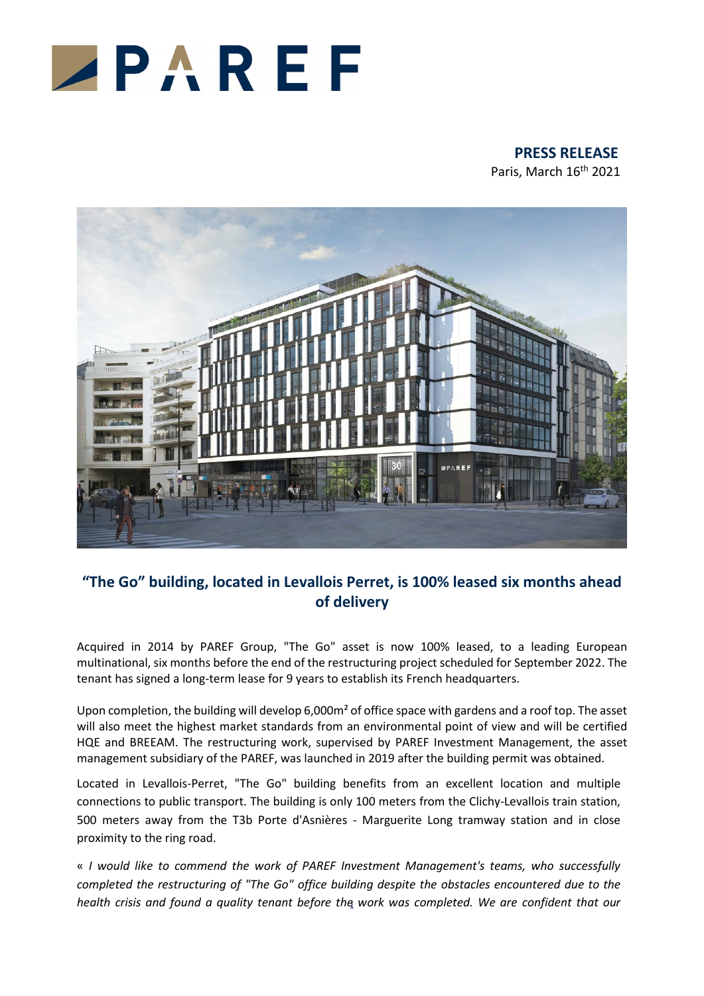

# **PRESS RELEASE**

Paris, March 16<sup>th</sup> 2021



# **"The Go" building, located in Levallois Perret, is 100% leased six months ahead of delivery**

Acquired in 2014 by PAREF Group, "The Go" asset is now 100% leased, to a leading European multinational, six months before the end of the restructuring project scheduled for September 2022. The tenant has signed a long-term lease for 9 years to establish its French headquarters.

Upon completion, the building will develop 6,000m<sup>2</sup> of office space with gardens and a roof top. The asset will also meet the highest market standards from an environmental point of view and will be certified HQE and BREEAM. The restructuring work, supervised by PAREF Investment Management, the asset management subsidiary of the PAREF, was launched in 2019 after the building permit was obtained.

Located in Levallois-Perret, "The Go" building benefits from an excellent location and multiple connections to public transport. The building is only 100 meters from the Clichy-Levallois train station, 500 meters away from the T3b Porte d'Asnières - Marguerite Long tramway station and in close proximity to the ring road.

1 *health crisis and found a quality tenant before the work was completed. We are confident that our* « *I would like to commend the work of PAREF Investment Management's teams, who successfully completed the restructuring of "The Go" office building despite the obstacles encountered due to the*